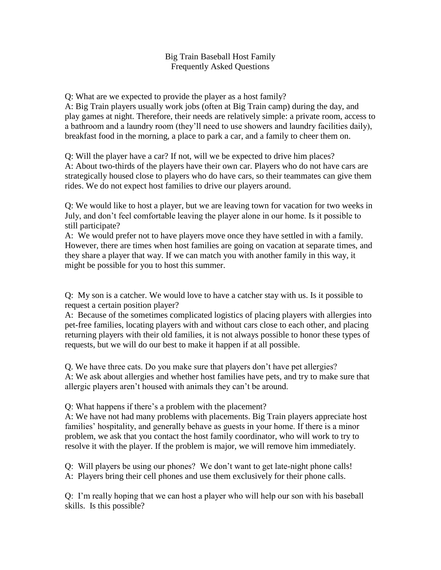## Big Train Baseball Host Family Frequently Asked Questions

Q: What are we expected to provide the player as a host family?

A: Big Train players usually work jobs (often at Big Train camp) during the day, and play games at night. Therefore, their needs are relatively simple: a private room, access to a bathroom and a laundry room (they'll need to use showers and laundry facilities daily), breakfast food in the morning, a place to park a car, and a family to cheer them on.

Q: Will the player have a car? If not, will we be expected to drive him places? A: About two-thirds of the players have their own car. Players who do not have cars are strategically housed close to players who do have cars, so their teammates can give them rides. We do not expect host families to drive our players around.

Q: We would like to host a player, but we are leaving town for vacation for two weeks in July, and don't feel comfortable leaving the player alone in our home. Is it possible to still participate?

A: We would prefer not to have players move once they have settled in with a family. However, there are times when host families are going on vacation at separate times, and they share a player that way. If we can match you with another family in this way, it might be possible for you to host this summer.

Q: My son is a catcher. We would love to have a catcher stay with us. Is it possible to request a certain position player?

A: Because of the sometimes complicated logistics of placing players with allergies into pet-free families, locating players with and without cars close to each other, and placing returning players with their old families, it is not always possible to honor these types of requests, but we will do our best to make it happen if at all possible.

Q. We have three cats. Do you make sure that players don't have pet allergies? A: We ask about allergies and whether host families have pets, and try to make sure that allergic players aren't housed with animals they can't be around.

Q: What happens if there's a problem with the placement?

A: We have not had many problems with placements. Big Train players appreciate host families' hospitality, and generally behave as guests in your home. If there is a minor problem, we ask that you contact the host family coordinator, who will work to try to resolve it with the player. If the problem is major, we will remove him immediately.

Q: Will players be using our phones? We don't want to get late-night phone calls! A: Players bring their cell phones and use them exclusively for their phone calls.

Q: I'm really hoping that we can host a player who will help our son with his baseball skills. Is this possible?